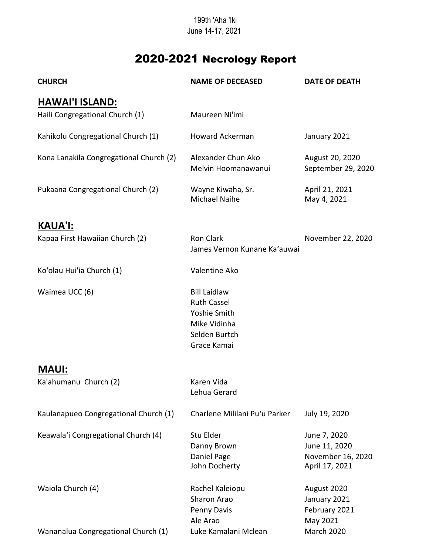## 199th 'Aha 'Iki June 14-17, 2021

## 2020-2021 Necrology Report

| <b>CHURCH</b>                                             | <b>NAME OF DECEASED</b>                                                                                   | <b>DATE OF DEATH</b>                                                 |
|-----------------------------------------------------------|-----------------------------------------------------------------------------------------------------------|----------------------------------------------------------------------|
| <u>HAWAI'I ISLAND:</u><br>Haili Congregational Church (1) | Maureen Ni'imi                                                                                            |                                                                      |
| Kahikolu Congregational Church (1)                        | Howard Ackerman                                                                                           | January 2021                                                         |
| Kona Lanakila Congregational Church (2)                   | Alexander Chun Ako<br>Melvin Hoomanawanui                                                                 | August 20, 2020<br>September 29, 2020                                |
| Pukaana Congregational Church (2)                         | Wayne Kiwaha, Sr.<br>Michael Naihe                                                                        | April 21, 2021<br>May 4, 2021                                        |
| <b>KAUA'I:</b>                                            |                                                                                                           |                                                                      |
| Kapaa First Hawaiian Church (2)                           | <b>Ron Clark</b><br>James Vernon Kunane Ka'auwai                                                          | November 22, 2020                                                    |
| Ko'olau Hui'ia Church (1)                                 | Valentine Ako                                                                                             |                                                                      |
| Waimea UCC (6)                                            | <b>Bill Laidlaw</b><br><b>Ruth Cassel</b><br>Yoshie Smith<br>Mike Vidinha<br>Selden Burtch<br>Grace Kamai |                                                                      |
| <b>MAUI:</b>                                              |                                                                                                           |                                                                      |
| Ka'ahumanu Church (2)                                     | Karen Vida<br>Lehua Gerard                                                                                |                                                                      |
| Kaulanapueo Congregational Church (1)                     | Charlene Mililani Pu'u Parker                                                                             | July 19, 2020                                                        |
| Keawala'i Congregational Church (4)                       | Stu Elder<br>Danny Brown<br>Daniel Page<br>John Docherty                                                  | June 7, 2020<br>June 11, 2020<br>November 16, 2020<br>April 17, 2021 |
| Waiola Church (4)                                         | Rachel Kaleiopu<br>Sharon Arao<br>Penny Davis<br>Ale Arao                                                 | August 2020<br>January 2021<br>February 2021<br>May 2021             |
| Wananalua Congregational Church (1)                       | Luke Kamalani Mclean                                                                                      | <b>March 2020</b>                                                    |